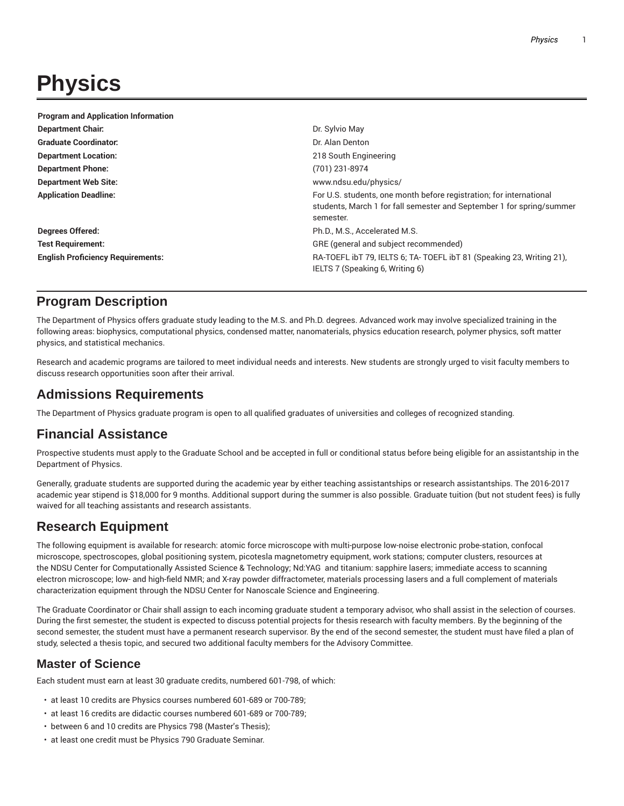# **Physics**

| <b>Program and Application Information</b> |                                                                                                                                                           |
|--------------------------------------------|-----------------------------------------------------------------------------------------------------------------------------------------------------------|
| <b>Department Chair.</b>                   | Dr. Sylvio May                                                                                                                                            |
| <b>Graduate Coordinator:</b>               | Dr. Alan Denton                                                                                                                                           |
| <b>Department Location:</b>                | 218 South Engineering                                                                                                                                     |
| <b>Department Phone:</b>                   | (701) 231-8974                                                                                                                                            |
| <b>Department Web Site:</b>                | www.ndsu.edu/physics/                                                                                                                                     |
| <b>Application Deadline:</b>               | For U.S. students, one month before registration; for international<br>students, March 1 for fall semester and September 1 for spring/summer<br>semester. |
| <b>Degrees Offered:</b>                    | Ph.D., M.S., Accelerated M.S.                                                                                                                             |
| <b>Test Requirement:</b>                   | GRE (general and subject recommended)                                                                                                                     |
| <b>English Proficiency Requirements:</b>   | RA-TOEFL ibT 79, IELTS 6; TA-TOEFL ibT 81 (Speaking 23, Writing 21),<br>IELTS 7 (Speaking 6, Writing 6)                                                   |

## **Program Description**

The Department of Physics offers graduate study leading to the M.S. and Ph.D. degrees. Advanced work may involve specialized training in the following areas: biophysics, computational physics, condensed matter, nanomaterials, physics education research, polymer physics, soft matter physics, and statistical mechanics.

Research and academic programs are tailored to meet individual needs and interests. New students are strongly urged to visit faculty members to discuss research opportunities soon after their arrival.

## **Admissions Requirements**

The Department of Physics graduate program is open to all qualified graduates of universities and colleges of recognized standing.

## **Financial Assistance**

Prospective students must apply to the Graduate School and be accepted in full or conditional status before being eligible for an assistantship in the Department of Physics.

Generally, graduate students are supported during the academic year by either teaching assistantships or research assistantships. The 2016-2017 academic year stipend is \$18,000 for 9 months. Additional support during the summer is also possible. Graduate tuition (but not student fees) is fully waived for all teaching assistants and research assistants.

# **Research Equipment**

The following equipment is available for research: atomic force microscope with multi-purpose low-noise electronic probe-station, confocal microscope, spectroscopes, global positioning system, picotesla magnetometry equipment, work stations; computer clusters, resources at the NDSU Center for Computationally Assisted Science & Technology; Nd:YAG and titanium: sapphire lasers; immediate access to scanning electron microscope; low- and high-field NMR; and X-ray powder diffractometer, materials processing lasers and a full complement of materials characterization equipment through the NDSU Center for Nanoscale Science and Engineering.

The Graduate Coordinator or Chair shall assign to each incoming graduate student a temporary advisor, who shall assist in the selection of courses. During the first semester, the student is expected to discuss potential projects for thesis research with faculty members. By the beginning of the second semester, the student must have a permanent research supervisor. By the end of the second semester, the student must have filed a plan of study, selected a thesis topic, and secured two additional faculty members for the Advisory Committee.

## **Master of Science**

Each student must earn at least 30 graduate credits, numbered 601-798, of which:

- at least 10 credits are Physics courses numbered 601-689 or 700-789;
- at least 16 credits are didactic courses numbered 601-689 or 700-789;
- between 6 and 10 credits are Physics 798 (Master's Thesis);
- at least one credit must be Physics 790 Graduate Seminar.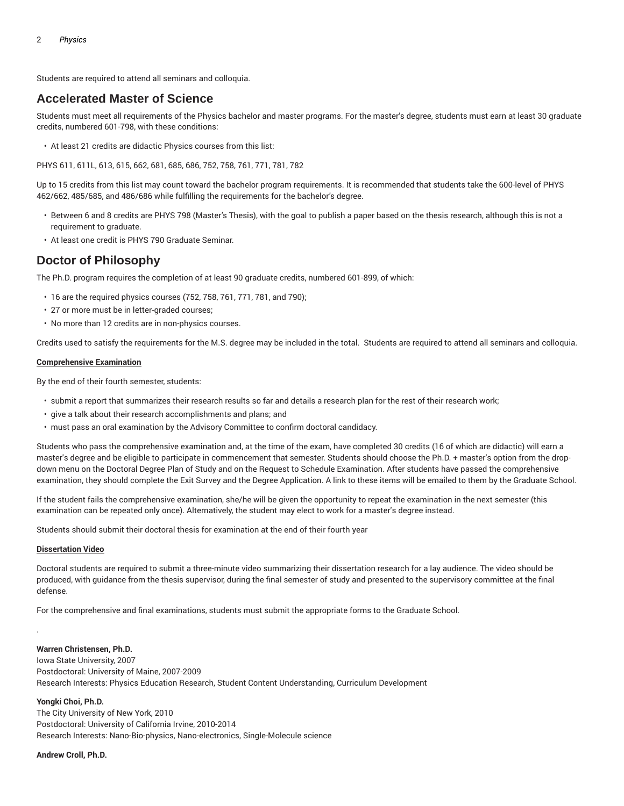Students are required to attend all seminars and colloquia.

### **Accelerated Master of Science**

Students must meet all requirements of the Physics bachelor and master programs. For the master's degree, students must earn at least 30 graduate credits, numbered 601-798, with these conditions:

• At least 21 credits are didactic Physics courses from this list:

PHYS 611, 611L, 613, 615, 662, 681, 685, 686, 752, 758, 761, 771, 781, 782

Up to 15 credits from this list may count toward the bachelor program requirements. It is recommended that students take the 600-level of PHYS 462/662, 485/685, and 486/686 while fulfilling the requirements for the bachelor's degree.

- Between 6 and 8 credits are PHYS 798 (Master's Thesis), with the goal to publish a paper based on the thesis research, although this is not a requirement to graduate.
- At least one credit is PHYS 790 Graduate Seminar.

### **Doctor of Philosophy**

The Ph.D. program requires the completion of at least 90 graduate credits, numbered 601-899, of which:

- 16 are the required physics courses (752, 758, 761, 771, 781, and 790);
- 27 or more must be in letter-graded courses;
- No more than 12 credits are in non-physics courses.

Credits used to satisfy the requirements for the M.S. degree may be included in the total. Students are required to attend all seminars and colloquia.

#### **Comprehensive Examination**

By the end of their fourth semester, students:

- submit a report that summarizes their research results so far and details a research plan for the rest of their research work;
- give a talk about their research accomplishments and plans; and
- must pass an oral examination by the Advisory Committee to confirm doctoral candidacy.

Students who pass the comprehensive examination and, at the time of the exam, have completed 30 credits (16 of which are didactic) will earn a master's degree and be eligible to participate in commencement that semester. Students should choose the Ph.D. + master's option from the dropdown menu on the Doctoral Degree Plan of Study and on the Request to Schedule Examination. After students have passed the comprehensive examination, they should complete the Exit Survey and the Degree Application. A link to these items will be emailed to them by the Graduate School.

If the student fails the comprehensive examination, she/he will be given the opportunity to repeat the examination in the next semester (this examination can be repeated only once). Alternatively, the student may elect to work for a master's degree instead.

Students should submit their doctoral thesis for examination at the end of their fourth year

#### **Dissertation Video**

Doctoral students are required to submit a three-minute video summarizing their dissertation research for a lay audience. The video should be produced, with guidance from the thesis supervisor, during the final semester of study and presented to the supervisory committee at the final defense.

For the comprehensive and final examinations, students must submit the appropriate forms to the Graduate School.

#### **Warren Christensen, Ph.D.**

Iowa State University, 2007 Postdoctoral: University of Maine, 2007-2009 Research Interests: Physics Education Research, Student Content Understanding, Curriculum Development

#### **Yongki Choi, Ph.D.**

.

The City University of New York, 2010 Postdoctoral: University of California Irvine, 2010-2014 Research Interests: Nano-Bio-physics, Nano-electronics, Single-Molecule science

#### **Andrew Croll, Ph.D.**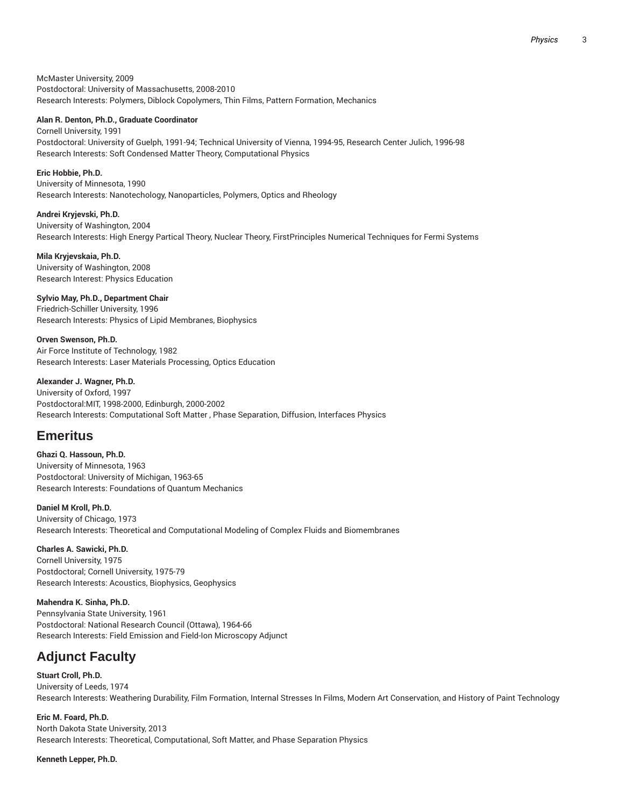McMaster University, 2009 Postdoctoral: University of Massachusetts, 2008-2010 Research Interests: Polymers, Diblock Copolymers, Thin Films, Pattern Formation, Mechanics

#### **Alan R. Denton, Ph.D., Graduate Coordinator**

Cornell University, 1991 Postdoctoral: University of Guelph, 1991-94; Technical University of Vienna, 1994-95, Research Center Julich, 1996-98 Research Interests: Soft Condensed Matter Theory, Computational Physics

**Eric Hobbie, Ph.D.** University of Minnesota, 1990 Research Interests: Nanotechology, Nanoparticles, Polymers, Optics and Rheology

**Andrei Kryjevski, Ph.D.** University of Washington, 2004 Research Interests: High Energy Partical Theory, Nuclear Theory, FirstPrinciples Numerical Techniques for Fermi Systems

**Mila Kryjevskaia, Ph.D.** University of Washington, 2008 Research Interest: Physics Education

**Sylvio May, Ph.D., Department Chair** Friedrich-Schiller University, 1996 Research Interests: Physics of Lipid Membranes, Biophysics

**Orven Swenson, Ph.D.** Air Force Institute of Technology, 1982 Research Interests: Laser Materials Processing, Optics Education

**Alexander J. Wagner, Ph.D.**

University of Oxford, 1997 Postdoctoral:MIT, 1998-2000, Edinburgh, 2000-2002 Research Interests: Computational Soft Matter , Phase Separation, Diffusion, Interfaces Physics

## **Emeritus**

**Ghazi Q. Hassoun, Ph.D.** University of Minnesota, 1963 Postdoctoral: University of Michigan, 1963-65 Research Interests: Foundations of Quantum Mechanics

**Daniel M Kroll, Ph.D.** University of Chicago, 1973 Research Interests: Theoretical and Computational Modeling of Complex Fluids and Biomembranes

**Charles A. Sawicki, Ph.D.** Cornell University, 1975 Postdoctoral; Cornell University, 1975-79 Research Interests: Acoustics, Biophysics, Geophysics

**Mahendra K. Sinha, Ph.D.** Pennsylvania State University, 1961 Postdoctoral: National Research Council (Ottawa), 1964-66 Research Interests: Field Emission and Field-Ion Microscopy Adjunct

# **Adjunct Faculty**

**Stuart Croll, Ph.D.** University of Leeds, 1974 Research Interests: Weathering Durability, Film Formation, Internal Stresses In Films, Modern Art Conservation, and History of Paint Technology

**Eric M. Foard, Ph.D.** North Dakota State University, 2013 Research Interests: Theoretical, Computational, Soft Matter, and Phase Separation Physics

**Kenneth Lepper, Ph.D.**